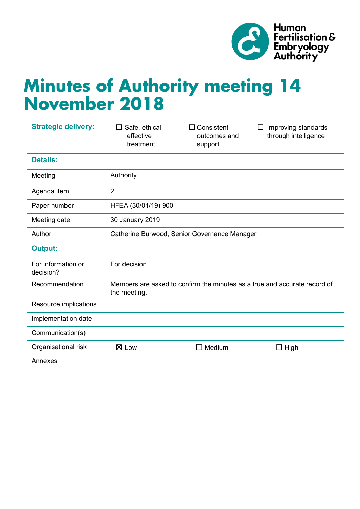

# **Minutes of Authority meeting 14 November 2018**

| <b>Strategic delivery:</b>      | Safe, ethical<br>effective<br>treatment                                                   | Consistent<br>outcomes and<br>support | Improving standards<br>through intelligence |
|---------------------------------|-------------------------------------------------------------------------------------------|---------------------------------------|---------------------------------------------|
| <b>Details:</b>                 |                                                                                           |                                       |                                             |
| Meeting                         | Authority                                                                                 |                                       |                                             |
| Agenda item                     | $\overline{2}$                                                                            |                                       |                                             |
| Paper number                    | HFEA (30/01/19) 900                                                                       |                                       |                                             |
| Meeting date                    | 30 January 2019                                                                           |                                       |                                             |
| Author                          | Catherine Burwood, Senior Governance Manager                                              |                                       |                                             |
| <b>Output:</b>                  |                                                                                           |                                       |                                             |
| For information or<br>decision? | For decision                                                                              |                                       |                                             |
| Recommendation                  | Members are asked to confirm the minutes as a true and accurate record of<br>the meeting. |                                       |                                             |
| Resource implications           |                                                                                           |                                       |                                             |
| Implementation date             |                                                                                           |                                       |                                             |
| Communication(s)                |                                                                                           |                                       |                                             |
| Organisational risk             | $\boxtimes$ Low                                                                           | Medium                                | $\Box$ High                                 |
|                                 |                                                                                           |                                       |                                             |

Annexes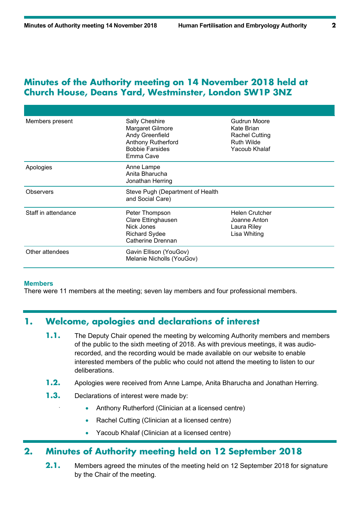## **Minutes of the Authority meeting on 14 November 2018 held at Church House, Deans Yard, Westminster, London SW1P 3NZ**

| Members present     | Sally Cheshire<br>Margaret Gilmore<br>Andy Greenfield<br><b>Anthony Rutherford</b><br><b>Bobbie Farsides</b><br>Emma Cave | Gudrun Moore<br>Kate Brian<br>Rachel Cutting<br><b>Ruth Wilde</b><br>Yacoub Khalaf |
|---------------------|---------------------------------------------------------------------------------------------------------------------------|------------------------------------------------------------------------------------|
| Apologies           | Anne Lampe<br>Anita Bharucha<br>Jonathan Herring                                                                          |                                                                                    |
| <b>Observers</b>    | Steve Pugh (Department of Health<br>and Social Care)                                                                      |                                                                                    |
| Staff in attendance | Peter Thompson<br>Clare Ettinghausen<br>Nick Jones<br><b>Richard Sydee</b><br>Catherine Drennan                           | <b>Helen Crutcher</b><br>Joanne Anton<br>Laura Riley<br>Lisa Whiting               |
| Other attendees     | Gavin Ellison (YouGov)<br>Melanie Nicholls (YouGov)                                                                       |                                                                                    |

#### **Members**

There were 11 members at the meeting; seven lay members and four professional members.

# **1. Welcome, apologies and declarations of interest**

- **1.1.** The Deputy Chair opened the meeting by welcoming Authority members and members of the public to the sixth meeting of 2018. As with previous meetings, it was audiorecorded, and the recording would be made available on our website to enable interested members of the public who could not attend the meeting to listen to our deliberations.
- **1.2.** Apologies were received from Anne Lampe, Anita Bharucha and Jonathan Herring.
- **1.3.** Declarations of interest were made by:
	- Anthony Rutherford (Clinician at a licensed centre)
	- Rachel Cutting (Clinician at a licensed centre)
	- Yacoub Khalaf (Clinician at a licensed centre)

## **2. Minutes of Authority meeting held on 12 September 2018**

**2.1.** Members agreed the minutes of the meeting held on 12 September 2018 for signature by the Chair of the meeting.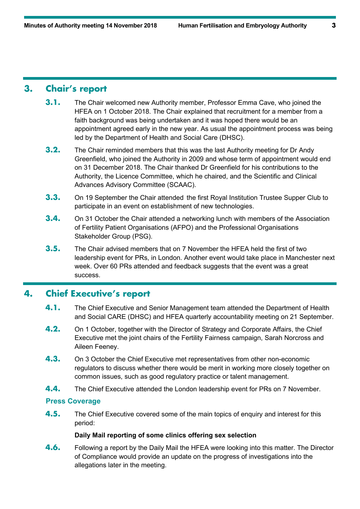# **3. Chair's report**

- **3.1.** The Chair welcomed new Authority member, Professor Emma Cave, who joined the HFEA on 1 October 2018. The Chair explained that recruitment for a member from a faith background was being undertaken and it was hoped there would be an appointment agreed early in the new year. As usual the appointment process was being led by the Department of Health and Social Care (DHSC).
- **3.2.** The Chair reminded members that this was the last Authority meeting for Dr Andy Greenfield, who joined the Authority in 2009 and whose term of appointment would end on 31 December 2018. The Chair thanked Dr Greenfield for his contributions to the Authority, the Licence Committee, which he chaired, and the Scientific and Clinical Advances Advisory Committee (SCAAC).
- **3.3.** On 19 September the Chair attended the first Royal Institution Trustee Supper Club to participate in an event on establishment of new technologies.
- **3.4.** On 31 October the Chair attended a networking lunch with members of the Association of Fertility Patient Organisations (AFPO) and the Professional Organisations Stakeholder Group (PSG).
- **3.5.** The Chair advised members that on 7 November the HFEA held the first of two leadership event for PRs, in London. Another event would take place in Manchester next week. Over 60 PRs attended and feedback suggests that the event was a great success.

# **4. Chief Executive's report**

- **4.1.** The Chief Executive and Senior Management team attended the Department of Health and Social CARE (DHSC) and HFEA quarterly accountability meeting on 21 September.
- **4.2.** On 1 October, together with the Director of Strategy and Corporate Affairs, the Chief Executive met the joint chairs of the Fertility Fairness campaign, Sarah Norcross and Aileen Feeney.
- **4.3.** On 3 October the Chief Executive met representatives from other non-economic regulators to discuss whether there would be merit in working more closely together on common issues, such as good regulatory practice or talent management.
- **4.4.** The Chief Executive attended the London leadership event for PRs on 7 November.

## **Press Coverage**

**4.5.** The Chief Executive covered some of the main topics of enquiry and interest for this period:

#### **Daily Mail reporting of some clinics offering sex selection**

**4.6.** Following a report by the Daily Mail the HFEA were looking into this matter. The Director of Compliance would provide an update on the progress of investigations into the allegations later in the meeting.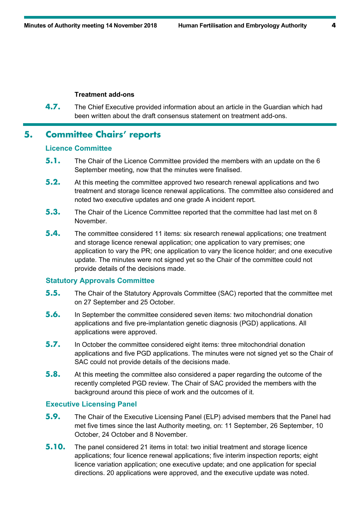#### **Treatment add-ons**

**4.7.** The Chief Executive provided information about an article in the Guardian which had been written about the draft consensus statement on treatment add-ons.

## **5. Committee Chairs' reports**

#### **Licence Committee**

- **5.1.** The Chair of the Licence Committee provided the members with an update on the 6 September meeting, now that the minutes were finalised.
- **5.2.** At this meeting the committee approved two research renewal applications and two treatment and storage licence renewal applications. The committee also considered and noted two executive updates and one grade A incident report.
- **5.3.** The Chair of the Licence Committee reported that the committee had last met on 8 **November**
- **5.4.** The committee considered 11 items: six research renewal applications; one treatment and storage licence renewal application; one application to vary premises; one application to vary the PR; one application to vary the licence holder; and one executive update. The minutes were not signed yet so the Chair of the committee could not provide details of the decisions made.

#### **Statutory Approvals Committee**

- **5.5.** The Chair of the Statutory Approvals Committee (SAC) reported that the committee met on 27 September and 25 October.
- **5.6.** In September the committee considered seven items: two mitochondrial donation applications and five pre-implantation genetic diagnosis (PGD) applications. All applications were approved.
- **5.7.** In October the committee considered eight items: three mitochondrial donation applications and five PGD applications. The minutes were not signed yet so the Chair of SAC could not provide details of the decisions made.
- **5.8.** At this meeting the committee also considered a paper regarding the outcome of the recently completed PGD review. The Chair of SAC provided the members with the background around this piece of work and the outcomes of it.

#### **Executive Licensing Panel**

- **5.9.** The Chair of the Executive Licensing Panel (ELP) advised members that the Panel had met five times since the last Authority meeting, on: 11 September, 26 September, 10 October, 24 October and 8 November.
- **5.10.** The panel considered 21 items in total: two initial treatment and storage licence applications; four licence renewal applications; five interim inspection reports; eight licence variation application; one executive update; and one application for special directions. 20 applications were approved, and the executive update was noted.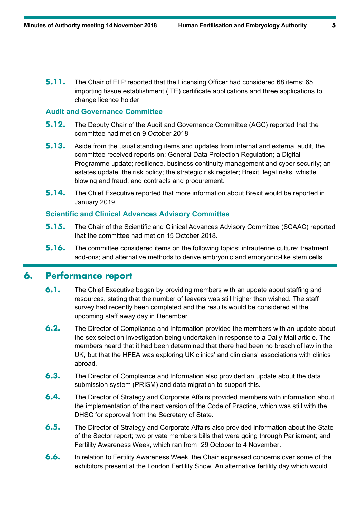**5.11.** The Chair of ELP reported that the Licensing Officer had considered 68 items: 65 importing tissue establishment (ITE) certificate applications and three applications to change licence holder.

## **Audit and Governance Committee**

- **5.12.** The Deputy Chair of the Audit and Governance Committee (AGC) reported that the committee had met on 9 October 2018.
- **5.13.** Aside from the usual standing items and updates from internal and external audit, the committee received reports on: General Data Protection Regulation; a Digital Programme update; resilience, business continuity management and cyber security; an estates update; the risk policy; the strategic risk register; Brexit; legal risks; whistle blowing and fraud; and contracts and procurement.
- **5.14.** The Chief Executive reported that more information about Brexit would be reported in January 2019.

#### **Scientific and Clinical Advances Advisory Committee**

- **5.15.** The Chair of the Scientific and Clinical Advances Advisory Committee (SCAAC) reported that the committee had met on 15 October 2018.
- **5.16.** The committee considered items on the following topics: intrauterine culture; treatment add-ons; and alternative methods to derive embryonic and embryonic-like stem cells.

## **6. Performance report**

- **6.1.** The Chief Executive began by providing members with an update about staffing and resources, stating that the number of leavers was still higher than wished. The staff survey had recently been completed and the results would be considered at the upcoming staff away day in December.
- **6.2.** The Director of Compliance and Information provided the members with an update about the sex selection investigation being undertaken in response to a Daily Mail article. The members heard that it had been determined that there had been no breach of law in the UK, but that the HFEA was exploring UK clinics' and clinicians' associations with clinics abroad.
- **6.3.** The Director of Compliance and Information also provided an update about the data submission system (PRISM) and data migration to support this.
- **6.4.** The Director of Strategy and Corporate Affairs provided members with information about the implementation of the next version of the Code of Practice, which was still with the DHSC for approval from the Secretary of State.
- **6.5.** The Director of Strategy and Corporate Affairs also provided information about the State of the Sector report; two private members bills that were going through Parliament; and Fertility Awareness Week, which ran from 29 October to 4 November.
- **6.6.** In relation to Fertility Awareness Week, the Chair expressed concerns over some of the exhibitors present at the London Fertility Show. An alternative fertility day which would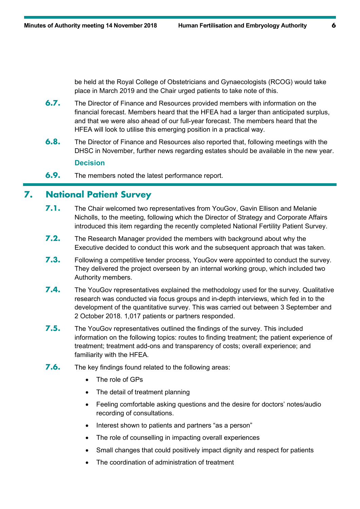be held at the Royal College of Obstetricians and Gynaecologists (RCOG) would take place in March 2019 and the Chair urged patients to take note of this.

- **6.7.** The Director of Finance and Resources provided members with information on the financial forecast. Members heard that the HFEA had a larger than anticipated surplus, and that we were also ahead of our full-year forecast. The members heard that the HFEA will look to utilise this emerging position in a practical way.
- **6.8.** The Director of Finance and Resources also reported that, following meetings with the DHSC in November, further news regarding estates should be available in the new year. **Decision**

## **6.9.** The members noted the latest performance report.

## **7. National Patient Survey**

- **7.1.** The Chair welcomed two representatives from YouGov, Gavin Ellison and Melanie Nicholls, to the meeting, following which the Director of Strategy and Corporate Affairs introduced this item regarding the recently completed National Fertility Patient Survey.
- **7.2.** The Research Manager provided the members with background about why the Executive decided to conduct this work and the subsequent approach that was taken.
- **7.3.** Following a competitive tender process, YouGov were appointed to conduct the survey. They delivered the project overseen by an internal working group, which included two Authority members.
- **7.4.** The YouGov representatives explained the methodology used for the survey. Qualitative research was conducted via focus groups and in-depth interviews, which fed in to the development of the quantitative survey. This was carried out between 3 September and 2 October 2018. 1,017 patients or partners responded.
- **7.5.** The YouGov representatives outlined the findings of the survey. This included information on the following topics: routes to finding treatment; the patient experience of treatment; treatment add-ons and transparency of costs; overall experience; and familiarity with the HFEA.
- **7.6.** The key findings found related to the following areas:
	- The role of GPs
	- The detail of treatment planning
	- Feeling comfortable asking questions and the desire for doctors' notes/audio recording of consultations.
	- Interest shown to patients and partners "as a person"
	- The role of counselling in impacting overall experiences
	- Small changes that could positively impact dignity and respect for patients
	- The coordination of administration of treatment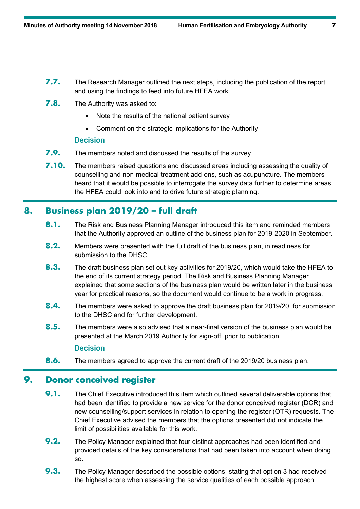- **7.7.** The Research Manager outlined the next steps, including the publication of the report and using the findings to feed into future HFEA work.
- **7.8.** The Authority was asked to:
	- Note the results of the national patient survey
	- Comment on the strategic implications for the Authority

#### **Decision**

- **7.9.** The members noted and discussed the results of the survey.
- **7.10.** The members raised questions and discussed areas including assessing the quality of counselling and non-medical treatment add-ons, such as acupuncture. The members heard that it would be possible to interrogate the survey data further to determine areas the HFEA could look into and to drive future strategic planning.

# **8. Business plan 2019/20 – full draft**

- 8.1. The Risk and Business Planning Manager introduced this item and reminded members that the Authority approved an outline of the business plan for 2019-2020 in September.
- **8.2.** Members were presented with the full draft of the business plan, in readiness for submission to the DHSC.
- **8.3.** The draft business plan set out key activities for 2019/20, which would take the HFEA to the end of its current strategy period. The Risk and Business Planning Manager explained that some sections of the business plan would be written later in the business year for practical reasons, so the document would continue to be a work in progress.
- **8.4.** The members were asked to approve the draft business plan for 2019/20, for submission to the DHSC and for further development.
- **8.5.** The members were also advised that a near-final version of the business plan would be presented at the March 2019 Authority for sign-off, prior to publication.

## **Decision**

**8.6.** The members agreed to approve the current draft of the 2019/20 business plan.

## **9. Donor conceived register**

- **9.1.** The Chief Executive introduced this item which outlined several deliverable options that had been identified to provide a new service for the donor conceived register (DCR) and new counselling/support services in relation to opening the register (OTR) requests. The Chief Executive advised the members that the options presented did not indicate the limit of possibilities available for this work.
- **9.2.** The Policy Manager explained that four distinct approaches had been identified and provided details of the key considerations that had been taken into account when doing so.
- **9.3.** The Policy Manager described the possible options, stating that option 3 had received the highest score when assessing the service qualities of each possible approach.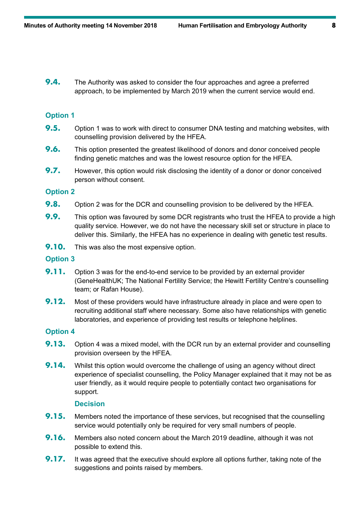**9.4.** The Authority was asked to consider the four approaches and agree a preferred approach, to be implemented by March 2019 when the current service would end.

#### **Option 1**

- **9.5.** Option 1 was to work with direct to consumer DNA testing and matching websites, with counselling provision delivered by the HFEA.
- **9.6.** This option presented the greatest likelihood of donors and donor conceived people finding genetic matches and was the lowest resource option for the HFEA.
- **9.7.** However, this option would risk disclosing the identity of a donor or donor conceived person without consent.

#### **Option 2**

- **9.8.** Option 2 was for the DCR and counselling provision to be delivered by the HFEA.
- **9.9.** This option was favoured by some DCR registrants who trust the HFEA to provide a high quality service. However, we do not have the necessary skill set or structure in place to deliver this. Similarly, the HFEA has no experience in dealing with genetic test results.
- **9.10.** This was also the most expensive option.

#### **Option 3**

- **9.11.** Option 3 was for the end-to-end service to be provided by an external provider (GeneHealthUK; The National Fertility Service; the Hewitt Fertility Centre's counselling team; or Rafan House).
- **9.12.** Most of these providers would have infrastructure already in place and were open to recruiting additional staff where necessary. Some also have relationships with genetic laboratories, and experience of providing test results or telephone helplines.

#### **Option 4**

- **9.13.** Option 4 was a mixed model, with the DCR run by an external provider and counselling provision overseen by the HFEA.
- **9.14.** Whilst this option would overcome the challenge of using an agency without direct experience of specialist counselling, the Policy Manager explained that it may not be as user friendly, as it would require people to potentially contact two organisations for support.

#### **Decision**

- **9.15.** Members noted the importance of these services, but recognised that the counselling service would potentially only be required for very small numbers of people.
- **9.16.** Members also noted concern about the March 2019 deadline, although it was not possible to extend this.
- **9.17.** It was agreed that the executive should explore all options further, taking note of the suggestions and points raised by members.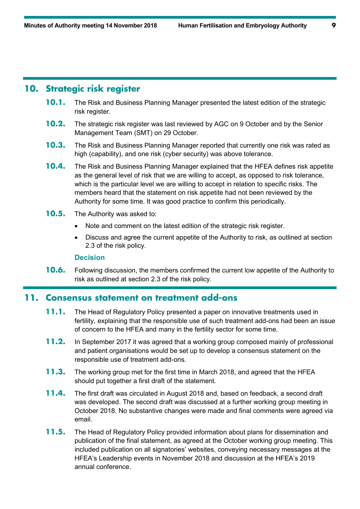## **10. Strategic risk register**

- **10.1.** The Risk and Business Planning Manager presented the latest edition of the strategic risk register.
- **10.2.** The strategic risk register was last reviewed by AGC on 9 October and by the Senior Management Team (SMT) on 29 October.
- **10.3.** The Risk and Business Planning Manager reported that currently one risk was rated as high (capability), and one risk (cyber security) was above tolerance.
- **10.4.** The Risk and Business Planning Manager explained that the HFEA defines risk appetite as the general level of risk that we are willing to accept, as opposed to risk tolerance, which is the particular level we are willing to accept in relation to specific risks. The members heard that the statement on risk appetite had not been reviewed by the Authority for some time. It was good practice to confirm this periodically.
- **10.5.** The Authority was asked to:
	- Note and comment on the latest edition of the strategic risk register.
	- Discuss and agree the current appetite of the Authority to risk, as outlined at section 2.3 of the risk policy.

#### **Decision**

**10.6.** Following discussion, the members confirmed the current low appetite of the Authority to risk as outlined at section 2.3 of the risk policy.

## **11. Consensus statement on treatment add-ons**

- **11.1.** The Head of Regulatory Policy presented a paper on innovative treatments used in fertility, explaining that the responsible use of such treatment add-ons had been an issue of concern to the HFEA and many in the fertility sector for some time.
- **11.2.** In September 2017 it was agreed that a working group composed mainly of professional and patient organisations would be set up to develop a consensus statement on the responsible use of treatment add-ons.
- **11.3.** The working group met for the first time in March 2018, and agreed that the HFEA should put together a first draft of the statement.
- **11.4.** The first draft was circulated in August 2018 and, based on feedback, a second draft was developed. The second draft was discussed at a further working group meeting in October 2018. No substantive changes were made and final comments were agreed via email.
- **11.5.** The Head of Regulatory Policy provided information about plans for dissemination and publication of the final statement, as agreed at the October working group meeting. This included publication on all signatories' websites, conveying necessary messages at the HFEA's Leadership events in November 2018 and discussion at the HFEA's 2019 annual conference.